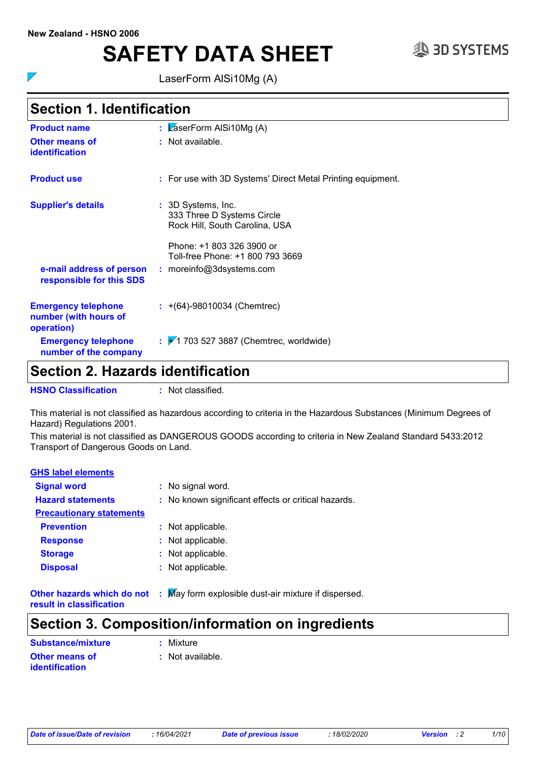$\overline{\phantom{a}}$ 

# SAFETY DATA SHEET <sup>33D SYSTEMS</sup>

LaserForm AlSi10Mg (A)

### **Section 1. Identification**

| <b>Product name</b>                                               | : $\sqrt{2}$ aserForm AISi10Mg (A)                                                 |
|-------------------------------------------------------------------|------------------------------------------------------------------------------------|
| <b>Other means of</b><br><b>identification</b>                    | : Not available.                                                                   |
| <b>Product use</b>                                                | : For use with 3D Systems' Direct Metal Printing equipment.                        |
| <b>Supplier's details</b>                                         | : 3D Systems, Inc.<br>333 Three D Systems Circle<br>Rock Hill, South Carolina, USA |
|                                                                   | Phone: +1 803 326 3900 or<br>Toll-free Phone: +1 800 793 3669                      |
| e-mail address of person<br>responsible for this SDS              | $:$ moreinfo@3dsystems.com                                                         |
| <b>Emergency telephone</b><br>number (with hours of<br>operation) | $\div$ +(64)-98010034 (Chemtrec)                                                   |
| <b>Emergency telephone</b><br>number of the company               | $\div$ 1 703 527 3887 (Chemtrec, worldwide)                                        |

### **Section 2. Hazards identification**

**HSNO Classification :** Not classified.

This material is not classified as hazardous according to criteria in the Hazardous Substances (Minimum Degrees of Hazard) Regulations 2001.

This material is not classified as DANGEROUS GOODS according to criteria in New Zealand Standard 5433:2012 Transport of Dangerous Goods on Land.

| <b>GHS label elements</b>       |                                                            |
|---------------------------------|------------------------------------------------------------|
| <b>Signal word</b>              | : No signal word.                                          |
| <b>Hazard statements</b>        | : No known significant effects or critical hazards.        |
| <b>Precautionary statements</b> |                                                            |
| <b>Prevention</b>               | : Not applicable.                                          |
| <b>Response</b>                 | : Not applicable.                                          |
| <b>Storage</b>                  | : Not applicable.                                          |
| <b>Disposal</b>                 | : Not applicable.                                          |
| Other hazards which do not      | May form explosible dust-air mixture if dispersed.<br>- 11 |

**result in classification**

### **Section 3. Composition/information on ingredients**

| <b>Substance/mixture</b> | : Mixture        |
|--------------------------|------------------|
| <b>Other means of</b>    | : Not available. |
| identification           |                  |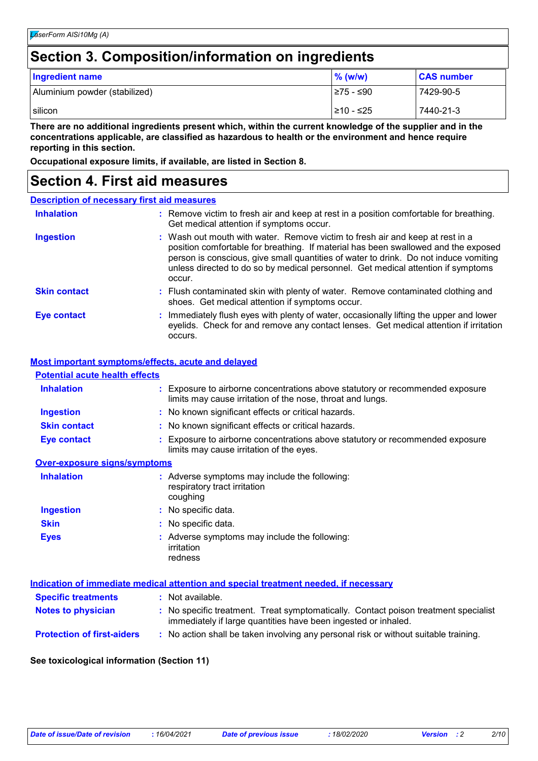### **Section 3. Composition/information on ingredients**

| <b>Ingredient name</b>        | $%$ (w/w)  | <b>CAS number</b> |
|-------------------------------|------------|-------------------|
| Aluminium powder (stabilized) | I≥75 - ≤90 | 7429-90-5         |
| silicon                       | 1≥10 - ≤25 | 7440-21-3         |

**There are no additional ingredients present which, within the current knowledge of the supplier and in the concentrations applicable, are classified as hazardous to health or the environment and hence require reporting in this section.**

**Occupational exposure limits, if available, are listed in Section 8.**

### **Section 4. First aid measures**

| <b>Description of necessary first aid measures</b> |                                                                                                                                                                                                                                                                                                                                                           |  |  |
|----------------------------------------------------|-----------------------------------------------------------------------------------------------------------------------------------------------------------------------------------------------------------------------------------------------------------------------------------------------------------------------------------------------------------|--|--|
| <b>Inhalation</b>                                  | : Remove victim to fresh air and keep at rest in a position comfortable for breathing.<br>Get medical attention if symptoms occur.                                                                                                                                                                                                                        |  |  |
| <b>Ingestion</b>                                   | : Wash out mouth with water. Remove victim to fresh air and keep at rest in a<br>position comfortable for breathing. If material has been swallowed and the exposed<br>person is conscious, give small quantities of water to drink. Do not induce vomiting<br>unless directed to do so by medical personnel. Get medical attention if symptoms<br>occur. |  |  |
| <b>Skin contact</b>                                | : Flush contaminated skin with plenty of water. Remove contaminated clothing and<br>shoes. Get medical attention if symptoms occur.                                                                                                                                                                                                                       |  |  |
| Eye contact                                        | : Immediately flush eyes with plenty of water, occasionally lifting the upper and lower<br>eyelids. Check for and remove any contact lenses. Get medical attention if irritation<br>occurs.                                                                                                                                                               |  |  |

#### **Most important symptoms/effects, acute and delayed**

| <b>Potential acute health effects</b> |                                                                                                                                             |
|---------------------------------------|---------------------------------------------------------------------------------------------------------------------------------------------|
| <b>Inhalation</b>                     | : Exposure to airborne concentrations above statutory or recommended exposure<br>limits may cause irritation of the nose, throat and lungs. |
| <b>Ingestion</b>                      | : No known significant effects or critical hazards.                                                                                         |
| <b>Skin contact</b>                   | : No known significant effects or critical hazards.                                                                                         |
| Eye contact                           | : Exposure to airborne concentrations above statutory or recommended exposure<br>limits may cause irritation of the eyes.                   |
| <b>Over-exposure signs/symptoms</b>   |                                                                                                                                             |
| <b>Inhalation</b>                     | : Adverse symptoms may include the following:<br>respiratory tract irritation<br>coughing                                                   |
| <b>Ingestion</b>                      | : No specific data.                                                                                                                         |

**Skin** No specific data. **: Eyes :** Adverse symptoms may include the following: irritation redness

| Indication of immediate medical attention and special treatment needed, if necessary |                                                                                                                                                       |  |  |
|--------------------------------------------------------------------------------------|-------------------------------------------------------------------------------------------------------------------------------------------------------|--|--|
| <b>Specific treatments</b>                                                           | : Not available.                                                                                                                                      |  |  |
| <b>Notes to physician</b>                                                            | : No specific treatment. Treat symptomatically. Contact poison treatment specialist<br>immediately if large quantities have been ingested or inhaled. |  |  |
| <b>Protection of first-aiders</b>                                                    | : No action shall be taken involving any personal risk or without suitable training.                                                                  |  |  |

#### **See toxicological information (Section 11)**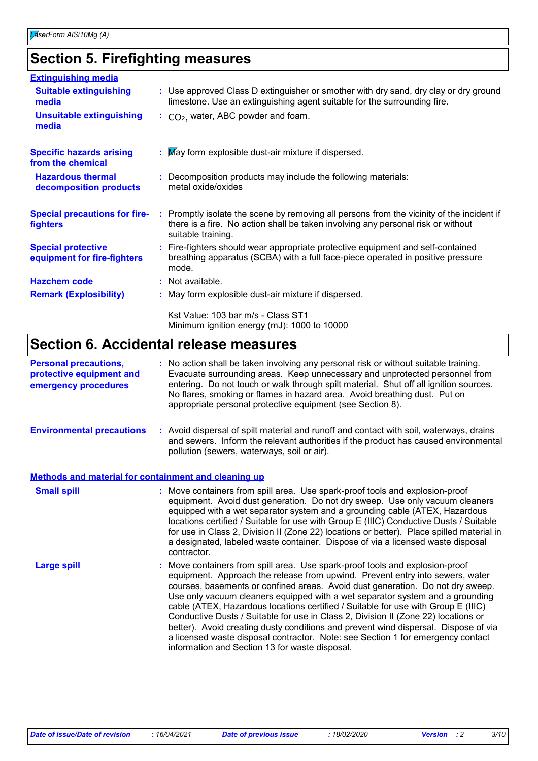### **Section 5. Firefighting measures**

| <b>Extinguishing media</b>                               |                                                                                                                                                                                                     |
|----------------------------------------------------------|-----------------------------------------------------------------------------------------------------------------------------------------------------------------------------------------------------|
| <b>Suitable extinguishing</b><br>media                   | : Use approved Class D extinguisher or smother with dry sand, dry clay or dry ground<br>limestone. Use an extinguishing agent suitable for the surrounding fire.                                    |
| <b>Unsuitable extinguishing</b><br>media                 | $\therefore$ CO <sub>2</sub> , water, ABC powder and foam.                                                                                                                                          |
| <b>Specific hazards arising</b><br>from the chemical     | : May form explosible dust-air mixture if dispersed.                                                                                                                                                |
| <b>Hazardous thermal</b><br>decomposition products       | : Decomposition products may include the following materials:<br>metal oxide/oxides                                                                                                                 |
| <b>Special precautions for fire-</b><br>fighters         | : Promptly isolate the scene by removing all persons from the vicinity of the incident if<br>there is a fire. No action shall be taken involving any personal risk or without<br>suitable training. |
| <b>Special protective</b><br>equipment for fire-fighters | : Fire-fighters should wear appropriate protective equipment and self-contained<br>breathing apparatus (SCBA) with a full face-piece operated in positive pressure<br>mode.                         |
| <b>Hazchem code</b>                                      | : Not available.                                                                                                                                                                                    |
| <b>Remark (Explosibility)</b>                            | : May form explosible dust-air mixture if dispersed.                                                                                                                                                |
|                                                          | Kst Value: 103 bar m/s - Class ST1<br>Minimum ignition energy (mJ): 1000 to 10000                                                                                                                   |

### **Section 6. Accidental release measures**

| <b>Personal precautions,</b><br>protective equipment and<br>emergency procedures | : No action shall be taken involving any personal risk or without suitable training.<br>Evacuate surrounding areas. Keep unnecessary and unprotected personnel from<br>entering. Do not touch or walk through spilt material. Shut off all ignition sources.<br>No flares, smoking or flames in hazard area. Avoid breathing dust. Put on<br>appropriate personal protective equipment (see Section 8).                                                                                                                                                                                                                                                                                                                                 |
|----------------------------------------------------------------------------------|-----------------------------------------------------------------------------------------------------------------------------------------------------------------------------------------------------------------------------------------------------------------------------------------------------------------------------------------------------------------------------------------------------------------------------------------------------------------------------------------------------------------------------------------------------------------------------------------------------------------------------------------------------------------------------------------------------------------------------------------|
| <b>Environmental precautions</b>                                                 | : Avoid dispersal of spilt material and runoff and contact with soil, waterways, drains<br>and sewers. Inform the relevant authorities if the product has caused environmental<br>pollution (sewers, waterways, soil or air).                                                                                                                                                                                                                                                                                                                                                                                                                                                                                                           |
| Methods and material for containment and cleaning up                             |                                                                                                                                                                                                                                                                                                                                                                                                                                                                                                                                                                                                                                                                                                                                         |
| <b>Small spill</b>                                                               | : Move containers from spill area. Use spark-proof tools and explosion-proof<br>equipment. Avoid dust generation. Do not dry sweep. Use only vacuum cleaners<br>equipped with a wet separator system and a grounding cable (ATEX, Hazardous<br>locations certified / Suitable for use with Group E (IIIC) Conductive Dusts / Suitable<br>for use in Class 2, Division II (Zone 22) locations or better). Place spilled material in<br>a designated, labeled waste container. Dispose of via a licensed waste disposal<br>contractor.                                                                                                                                                                                                    |
| <b>Large spill</b>                                                               | : Move containers from spill area. Use spark-proof tools and explosion-proof<br>equipment. Approach the release from upwind. Prevent entry into sewers, water<br>courses, basements or confined areas. Avoid dust generation. Do not dry sweep.<br>Use only vacuum cleaners equipped with a wet separator system and a grounding<br>cable (ATEX, Hazardous locations certified / Suitable for use with Group E (IIIC)<br>Conductive Dusts / Suitable for use in Class 2, Division II (Zone 22) locations or<br>better). Avoid creating dusty conditions and prevent wind dispersal. Dispose of via<br>a licensed waste disposal contractor. Note: see Section 1 for emergency contact<br>information and Section 13 for waste disposal. |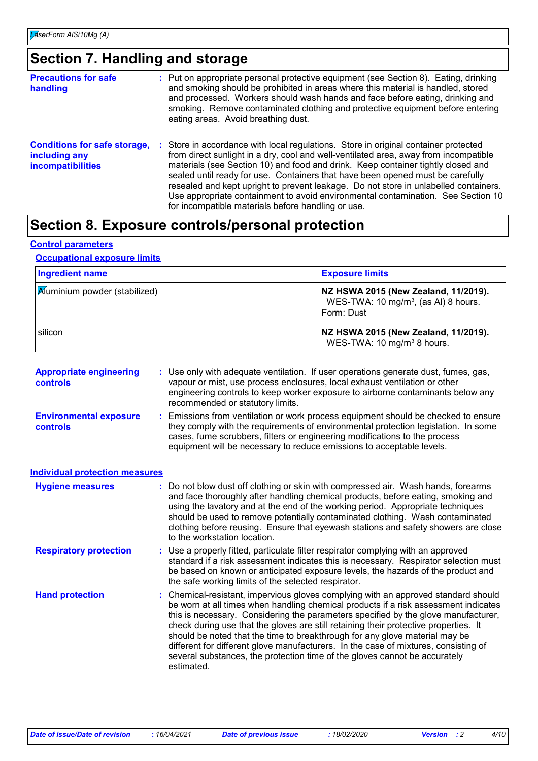### **Section 7. Handling and storage**

| <b>Precautions for safe</b><br>handling                                   | : Put on appropriate personal protective equipment (see Section 8). Eating, drinking<br>and smoking should be prohibited in areas where this material is handled, stored<br>and processed. Workers should wash hands and face before eating, drinking and<br>smoking. Remove contaminated clothing and protective equipment before entering<br>eating areas. Avoid breathing dust.                                                                                                                                                                                                  |
|---------------------------------------------------------------------------|-------------------------------------------------------------------------------------------------------------------------------------------------------------------------------------------------------------------------------------------------------------------------------------------------------------------------------------------------------------------------------------------------------------------------------------------------------------------------------------------------------------------------------------------------------------------------------------|
| <b>Conditions for safe storage,</b><br>including any<br>incompatibilities | : Store in accordance with local regulations. Store in original container protected<br>from direct sunlight in a dry, cool and well-ventilated area, away from incompatible<br>materials (see Section 10) and food and drink. Keep container tightly closed and<br>sealed until ready for use. Containers that have been opened must be carefully<br>resealed and kept upright to prevent leakage. Do not store in unlabelled containers.<br>Use appropriate containment to avoid environmental contamination. See Section 10<br>for incompatible materials before handling or use. |

### **Section 8. Exposure controls/personal protection**

#### **Control parameters**

#### **Occupational exposure limits**

| <b>Ingredient name</b>                | <b>Exposure limits</b>                                                                                 |
|---------------------------------------|--------------------------------------------------------------------------------------------------------|
| <b>A</b> luminium powder (stabilized) | NZ HSWA 2015 (New Zealand, 11/2019).<br>WES-TWA: 10 mg/m <sup>3</sup> , (as AI) 8 hours.<br>Form: Dust |
| silicon                               | NZ HSWA 2015 (New Zealand, 11/2019).<br>WES-TWA: 10 mg/m <sup>3</sup> 8 hours.                         |

|                                       | : Use only with adequate ventilation. If user operations generate dust, fumes, gas,<br>vapour or mist, use process enclosures, local exhaust ventilation or other<br>engineering controls to keep worker exposure to airborne contaminants below any<br>recommended or statutory limits.                                                                                                                                                                                                                                                                                                                                  |
|---------------------------------------|---------------------------------------------------------------------------------------------------------------------------------------------------------------------------------------------------------------------------------------------------------------------------------------------------------------------------------------------------------------------------------------------------------------------------------------------------------------------------------------------------------------------------------------------------------------------------------------------------------------------------|
|                                       | Emissions from ventilation or work process equipment should be checked to ensure<br>they comply with the requirements of environmental protection legislation. In some<br>cases, fume scrubbers, filters or engineering modifications to the process<br>equipment will be necessary to reduce emissions to acceptable levels.                                                                                                                                                                                                                                                                                             |
| <b>Individual protection measures</b> |                                                                                                                                                                                                                                                                                                                                                                                                                                                                                                                                                                                                                           |
|                                       | : Do not blow dust off clothing or skin with compressed air. Wash hands, forearms<br>and face thoroughly after handling chemical products, before eating, smoking and<br>using the lavatory and at the end of the working period. Appropriate techniques<br>should be used to remove potentially contaminated clothing. Wash contaminated<br>clothing before reusing. Ensure that eyewash stations and safety showers are close<br>to the workstation location.                                                                                                                                                           |
|                                       | : Use a properly fitted, particulate filter respirator complying with an approved<br>standard if a risk assessment indicates this is necessary. Respirator selection must<br>be based on known or anticipated exposure levels, the hazards of the product and<br>the safe working limits of the selected respirator.                                                                                                                                                                                                                                                                                                      |
|                                       | : Chemical-resistant, impervious gloves complying with an approved standard should<br>be worn at all times when handling chemical products if a risk assessment indicates<br>this is necessary. Considering the parameters specified by the glove manufacturer,<br>check during use that the gloves are still retaining their protective properties. It<br>should be noted that the time to breakthrough for any glove material may be<br>different for different glove manufacturers. In the case of mixtures, consisting of<br>several substances, the protection time of the gloves cannot be accurately<br>estimated. |
|                                       |                                                                                                                                                                                                                                                                                                                                                                                                                                                                                                                                                                                                                           |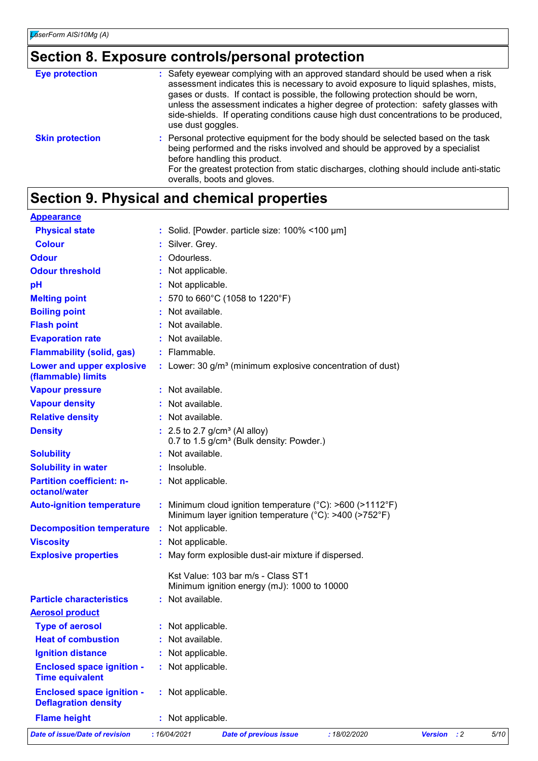## **Section 8. Exposure controls/personal protection**

| <b>Eye protection</b>  | : Safety eyewear complying with an approved standard should be used when a risk<br>assessment indicates this is necessary to avoid exposure to liquid splashes, mists,<br>gases or dusts. If contact is possible, the following protection should be worn,<br>unless the assessment indicates a higher degree of protection: safety glasses with<br>side-shields. If operating conditions cause high dust concentrations to be produced,<br>use dust goggles. |
|------------------------|---------------------------------------------------------------------------------------------------------------------------------------------------------------------------------------------------------------------------------------------------------------------------------------------------------------------------------------------------------------------------------------------------------------------------------------------------------------|
| <b>Skin protection</b> | : Personal protective equipment for the body should be selected based on the task<br>being performed and the risks involved and should be approved by a specialist<br>before handling this product.<br>For the greatest protection from static discharges, clothing should include anti-static<br>overalls, boots and gloves.                                                                                                                                 |

### **Section 9. Physical and chemical properties**

| <b>Appearance</b>                                               |                                                                                                                   |      |
|-----------------------------------------------------------------|-------------------------------------------------------------------------------------------------------------------|------|
| <b>Physical state</b>                                           | : Solid. [Powder. particle size: $100\%$ < 100 $\mu$ m]                                                           |      |
| <b>Colour</b>                                                   | Silver. Grey.                                                                                                     |      |
| <b>Odour</b>                                                    | Odourless.                                                                                                        |      |
| <b>Odour threshold</b>                                          | Not applicable.                                                                                                   |      |
| рH                                                              | Not applicable.                                                                                                   |      |
| <b>Melting point</b>                                            | 570 to 660°C (1058 to 1220°F)                                                                                     |      |
| <b>Boiling point</b>                                            | Not available.                                                                                                    |      |
| <b>Flash point</b>                                              | Not available.                                                                                                    |      |
| <b>Evaporation rate</b>                                         | : Not available.                                                                                                  |      |
| <b>Flammability (solid, gas)</b>                                | : Flammable.                                                                                                      |      |
| <b>Lower and upper explosive</b><br>(flammable) limits          | : Lower: 30 g/m <sup>3</sup> (minimum explosive concentration of dust)                                            |      |
| <b>Vapour pressure</b>                                          | : Not available.                                                                                                  |      |
| <b>Vapour density</b>                                           | : Not available.                                                                                                  |      |
| <b>Relative density</b>                                         | : Not available.                                                                                                  |      |
| <b>Density</b>                                                  | $: 2.5$ to 2.7 g/cm <sup>3</sup> (Al alloy)<br>0.7 to 1.5 g/cm <sup>3</sup> (Bulk density: Powder.)               |      |
| <b>Solubility</b>                                               | Not available.                                                                                                    |      |
| <b>Solubility in water</b>                                      | : Insoluble.                                                                                                      |      |
| <b>Partition coefficient: n-</b><br>octanol/water               | : Not applicable.                                                                                                 |      |
| <b>Auto-ignition temperature</b>                                | Minimum cloud ignition temperature (°C): >600 (>1112°F)<br>Minimum layer ignition temperature (°C): >400 (>752°F) |      |
| <b>Decomposition temperature</b>                                | : Not applicable.                                                                                                 |      |
| <b>Viscosity</b>                                                | : Not applicable.                                                                                                 |      |
| <b>Explosive properties</b>                                     | : May form explosible dust-air mixture if dispersed.                                                              |      |
|                                                                 | Kst Value: 103 bar m/s - Class ST1<br>Minimum ignition energy (mJ): 1000 to 10000                                 |      |
| <b>Particle characteristics</b>                                 | : Not available.                                                                                                  |      |
| <b>Aerosol product</b>                                          |                                                                                                                   |      |
| <b>Type of aerosol</b>                                          | Not applicable.                                                                                                   |      |
| <b>Heat of combustion</b>                                       | Not available.                                                                                                    |      |
| <b>Ignition distance</b>                                        | Not applicable.                                                                                                   |      |
| <b>Enclosed space ignition -</b><br><b>Time equivalent</b>      | Not applicable.                                                                                                   |      |
| <b>Enclosed space ignition -</b><br><b>Deflagration density</b> | : Not applicable.                                                                                                 |      |
| <b>Flame height</b>                                             | : Not applicable.                                                                                                 |      |
| <b>Date of issue/Date of revision</b>                           | : 16/04/2021<br>$\cdot$ : 2<br><b>Date of previous issue</b><br>: 18/02/2020<br><b>Version</b>                    | 5/10 |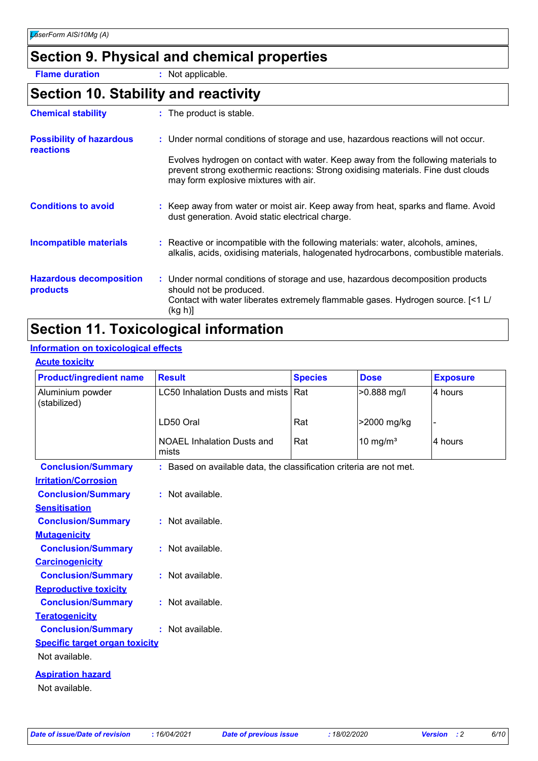### **Section 9. Physical and chemical properties**

**Flame duration :** Not applicable.

### **Section 10. Stability and reactivity**

| <b>Chemical stability</b>                    | : The product is stable.                                                                                                                                                                                        |
|----------------------------------------------|-----------------------------------------------------------------------------------------------------------------------------------------------------------------------------------------------------------------|
| <b>Possibility of hazardous</b><br>reactions | : Under normal conditions of storage and use, hazardous reactions will not occur.                                                                                                                               |
|                                              | Evolves hydrogen on contact with water. Keep away from the following materials to<br>prevent strong exothermic reactions: Strong oxidising materials. Fine dust clouds<br>may form explosive mixtures with air. |
| <b>Conditions to avoid</b>                   | : Keep away from water or moist air. Keep away from heat, sparks and flame. Avoid<br>dust generation. Avoid static electrical charge.                                                                           |
| <b>Incompatible materials</b>                | : Reactive or incompatible with the following materials: water, alcohols, amines,<br>alkalis, acids, oxidising materials, halogenated hydrocarbons, combustible materials.                                      |
| <b>Hazardous decomposition</b><br>products   | : Under normal conditions of storage and use, hazardous decomposition products<br>should not be produced.<br>Contact with water liberates extremely flammable gases. Hydrogen source. [<1 L/<br>(kg h)]         |

### **Section 11. Toxicological information**

#### **Information on toxicological effects**

### **Acute toxicity**

| <b>Product/ingredient name</b>                          | <b>Result</b>                                                       | <b>Species</b> | <b>Dose</b>          | <b>Exposure</b> |
|---------------------------------------------------------|---------------------------------------------------------------------|----------------|----------------------|-----------------|
| Aluminium powder<br>(stabilized)                        | <b>LC50 Inhalation Dusts and mists</b>                              | Rat            | >0.888 mg/l          | 4 hours         |
|                                                         | LD50 Oral                                                           | Rat            | >2000 mg/kg          |                 |
|                                                         | <b>NOAEL Inhalation Dusts and</b><br>mists                          | Rat            | 10 mg/m <sup>3</sup> | 4 hours         |
| <b>Conclusion/Summary</b>                               | : Based on available data, the classification criteria are not met. |                |                      |                 |
| <b>Irritation/Corrosion</b>                             |                                                                     |                |                      |                 |
| <b>Conclusion/Summary</b>                               | : Not available.                                                    |                |                      |                 |
| <b>Sensitisation</b>                                    |                                                                     |                |                      |                 |
| <b>Conclusion/Summary</b>                               | : Not available.                                                    |                |                      |                 |
| <b>Mutagenicity</b>                                     |                                                                     |                |                      |                 |
| <b>Conclusion/Summary</b>                               | : Not available.                                                    |                |                      |                 |
| <b>Carcinogenicity</b>                                  |                                                                     |                |                      |                 |
| <b>Conclusion/Summary</b>                               | : Not available.                                                    |                |                      |                 |
| <b>Reproductive toxicity</b>                            |                                                                     |                |                      |                 |
| <b>Conclusion/Summary</b>                               | : Not available.                                                    |                |                      |                 |
| <b>Teratogenicity</b>                                   |                                                                     |                |                      |                 |
| <b>Conclusion/Summary</b>                               | : Not available.                                                    |                |                      |                 |
| <b>Specific target organ toxicity</b><br>Not available. |                                                                     |                |                      |                 |
| <b>Aspiration hazard</b><br>Not available.              |                                                                     |                |                      |                 |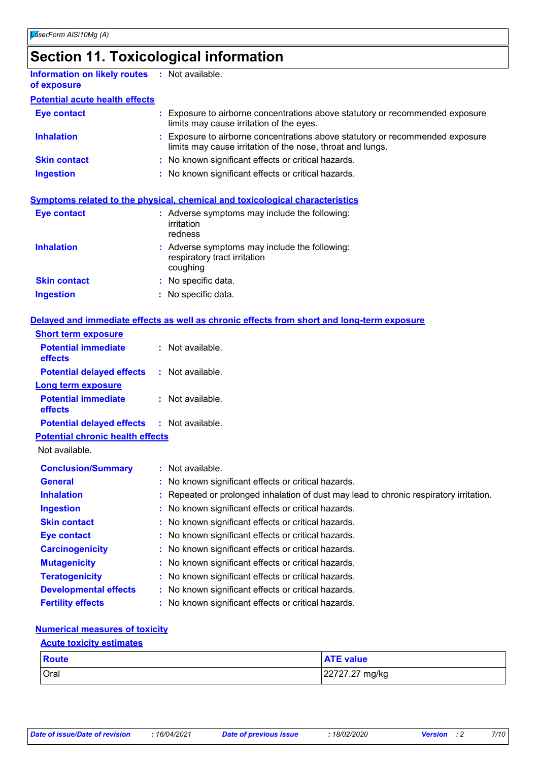### **Section 11. Toxicological information**

| <b>Information on likely routes : Not available.</b><br>of exposure |                                                                                                                                             |
|---------------------------------------------------------------------|---------------------------------------------------------------------------------------------------------------------------------------------|
| <b>Potential acute health effects</b>                               |                                                                                                                                             |
| Eye contact                                                         | : Exposure to airborne concentrations above statutory or recommended exposure<br>limits may cause irritation of the eyes.                   |
| <b>Inhalation</b>                                                   | : Exposure to airborne concentrations above statutory or recommended exposure<br>limits may cause irritation of the nose, throat and lungs. |
| <b>Skin contact</b>                                                 | : No known significant effects or critical hazards.                                                                                         |
| <b>Ingestion</b>                                                    | : No known significant effects or critical hazards.                                                                                         |
|                                                                     |                                                                                                                                             |
|                                                                     | <b>Symptoms related to the physical, chemical and toxicological characteristics</b>                                                         |

| Eye contact         | : Adverse symptoms may include the following:<br>irritation<br>redness                    |
|---------------------|-------------------------------------------------------------------------------------------|
| <b>Inhalation</b>   | : Adverse symptoms may include the following:<br>respiratory tract irritation<br>coughing |
| <b>Skin contact</b> | : No specific data.                                                                       |
| <b>Ingestion</b>    | : No specific data.                                                                       |

### **Delayed and immediate effects as well as chronic effects from short and long-term exposure**

|                                                   | <u>ociavcu anu immiculate chects as wen as chronic enects from short anu iong-term exposure</u> |
|---------------------------------------------------|-------------------------------------------------------------------------------------------------|
| <b>Short term exposure</b>                        |                                                                                                 |
| <b>Potential immediate</b><br><b>effects</b>      | $:$ Not available.                                                                              |
| <b>Potential delayed effects</b>                  | : Not available.                                                                                |
| <b>Long term exposure</b>                         |                                                                                                 |
| <b>Potential immediate</b><br><b>effects</b>      | : Not available.                                                                                |
| <b>Potential delayed effects : Not available.</b> |                                                                                                 |
| <b>Potential chronic health effects</b>           |                                                                                                 |
| Not available.                                    |                                                                                                 |
| <b>Conclusion/Summary</b>                         | : Not available.                                                                                |
| <b>General</b>                                    | : No known significant effects or critical hazards.                                             |
| <b>Inhalation</b>                                 | : Repeated or prolonged inhalation of dust may lead to chronic respiratory irritation.          |
| <b>Ingestion</b>                                  | : No known significant effects or critical hazards.                                             |
| <b>Skin contact</b>                               | : No known significant effects or critical hazards.                                             |
| <b>Eye contact</b>                                | : No known significant effects or critical hazards.                                             |
| <b>Carcinogenicity</b>                            | : No known significant effects or critical hazards.                                             |
| <b>Mutagenicity</b>                               | : No known significant effects or critical hazards.                                             |
| <b>Teratogenicity</b>                             | : No known significant effects or critical hazards.                                             |
| <b>Developmental effects</b>                      | : No known significant effects or critical hazards.                                             |

**Fertility effects :** No known significant effects or critical hazards.

#### **Numerical measures of toxicity**

#### **Acute toxicity estimates**

| Route | <b>ATE value</b> |
|-------|------------------|
| Oral  | 22727.27 mg/kg   |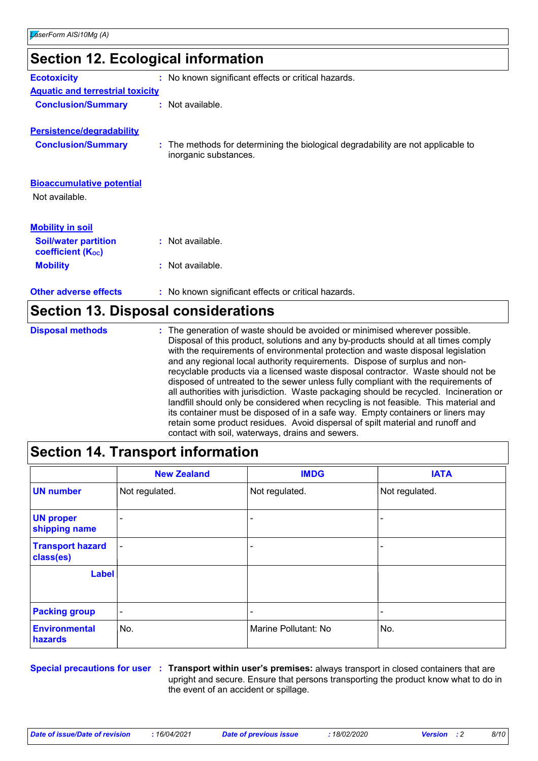| <b>Section 12. Ecological information</b>               |                                                                                                           |  |
|---------------------------------------------------------|-----------------------------------------------------------------------------------------------------------|--|
| <b>Ecotoxicity</b>                                      | : No known significant effects or critical hazards.                                                       |  |
| <b>Aquatic and terrestrial toxicity</b>                 |                                                                                                           |  |
| <b>Conclusion/Summary</b>                               | : Not available.                                                                                          |  |
| <b>Persistence/degradability</b>                        |                                                                                                           |  |
| <b>Conclusion/Summary</b>                               | : The methods for determining the biological degradability are not applicable to<br>inorganic substances. |  |
| <b>Bioaccumulative potential</b><br>Not available.      |                                                                                                           |  |
| <b>Mobility in soil</b>                                 |                                                                                                           |  |
| <b>Soil/water partition</b><br><b>coefficient (Koc)</b> | : Not available.                                                                                          |  |
| <b>Mobility</b>                                         | $:$ Not available.                                                                                        |  |
| <b>Other adverse effects</b>                            | : No known significant effects or critical hazards.                                                       |  |
|                                                         | <b>Section 13. Disposal considerations</b>                                                                |  |

| <b>Disposal methods</b> | : The generation of waste should be avoided or minimised wherever possible.<br>Disposal of this product, solutions and any by-products should at all times comply<br>with the requirements of environmental protection and waste disposal legislation<br>and any regional local authority requirements. Dispose of surplus and non-<br>recyclable products via a licensed waste disposal contractor. Waste should not be<br>disposed of untreated to the sewer unless fully compliant with the requirements of<br>all authorities with jurisdiction. Waste packaging should be recycled. Incineration or<br>landfill should only be considered when recycling is not feasible. This material and<br>its container must be disposed of in a safe way. Empty containers or liners may<br>retain some product residues. Avoid dispersal of spilt material and runoff and |
|-------------------------|-----------------------------------------------------------------------------------------------------------------------------------------------------------------------------------------------------------------------------------------------------------------------------------------------------------------------------------------------------------------------------------------------------------------------------------------------------------------------------------------------------------------------------------------------------------------------------------------------------------------------------------------------------------------------------------------------------------------------------------------------------------------------------------------------------------------------------------------------------------------------|
|                         | contact with soil, waterways, drains and sewers.                                                                                                                                                                                                                                                                                                                                                                                                                                                                                                                                                                                                                                                                                                                                                                                                                      |

### **Section 14. Transport information**

|                                      | <b>New Zealand</b>       | <b>IMDG</b>          | <b>IATA</b>    |
|--------------------------------------|--------------------------|----------------------|----------------|
| <b>UN number</b>                     | Not regulated.           | Not regulated.       | Not regulated. |
| <b>UN proper</b><br>shipping name    | $\blacksquare$           |                      |                |
| <b>Transport hazard</b><br>class(es) | $\overline{\phantom{a}}$ |                      |                |
| Label                                |                          |                      |                |
| <b>Packing group</b>                 | $\blacksquare$           |                      |                |
| <b>Environmental</b><br>hazards      | No.                      | Marine Pollutant: No | No.            |

**Special precautions for user Transport within user's premises:** always transport in closed containers that are **:** upright and secure. Ensure that persons transporting the product know what to do in the event of an accident or spillage.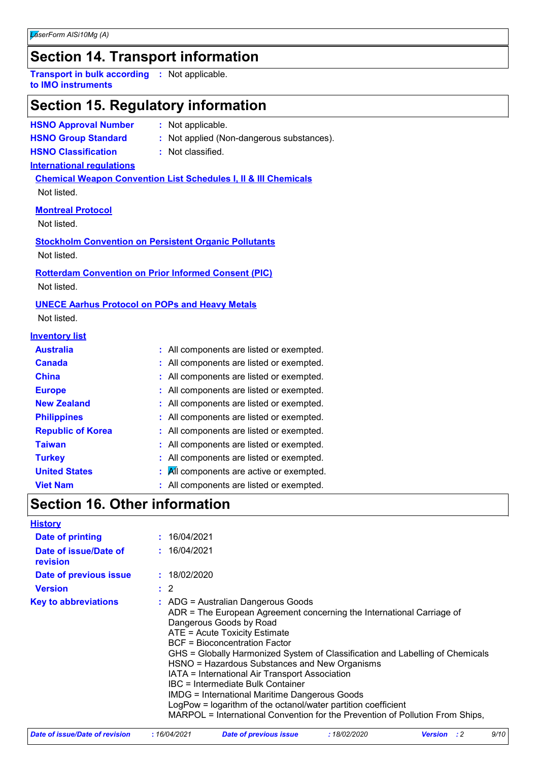### **Section 14. Transport information**

**Transport in bulk according :** Not applicable. **to IMO instruments**

### **Section 15. Regulatory information**

**HSNO Approval Number :** Not applicable.

- 
- **HSNO Group Standard :** Not applied (Non-dangerous substances).

**HSNO Classification :** Not classified.

#### **International regulations**

**Chemical Weapon Convention List Schedules I, II & III Chemicals** Not listed.

#### **Montreal Protocol**

Not listed.

**Stockholm Convention on Persistent Organic Pollutants** Not listed.

#### **Rotterdam Convention on Prior Informed Consent (PIC)**

Not listed.

#### **UNECE Aarhus Protocol on POPs and Heavy Metals**

Not listed.

#### **Inventory list**

| <b>Australia</b>         |   | : All components are listed or exempted. |
|--------------------------|---|------------------------------------------|
| <b>Canada</b>            |   | : All components are listed or exempted. |
| <b>China</b>             |   | : All components are listed or exempted. |
| <b>Europe</b>            |   | : All components are listed or exempted. |
| <b>New Zealand</b>       |   | : All components are listed or exempted. |
| <b>Philippines</b>       |   | : All components are listed or exempted. |
| <b>Republic of Korea</b> |   | : All components are listed or exempted. |
| <b>Taiwan</b>            |   | : All components are listed or exempted. |
| <b>Turkey</b>            |   | : All components are listed or exempted. |
| <b>United States</b>     | ÷ | All components are active or exempted.   |
| <b>Viet Nam</b>          |   | : All components are listed or exempted. |

### **Section 16. Other information**

| <b>History</b>                    |                                                                                                                                                                                                                                                                                                                                                                                                                                                                                                                                                                                                                                                               |
|-----------------------------------|---------------------------------------------------------------------------------------------------------------------------------------------------------------------------------------------------------------------------------------------------------------------------------------------------------------------------------------------------------------------------------------------------------------------------------------------------------------------------------------------------------------------------------------------------------------------------------------------------------------------------------------------------------------|
| Date of printing                  | : 16/04/2021                                                                                                                                                                                                                                                                                                                                                                                                                                                                                                                                                                                                                                                  |
| Date of issue/Date of<br>revision | : 16/04/2021                                                                                                                                                                                                                                                                                                                                                                                                                                                                                                                                                                                                                                                  |
| Date of previous issue            | : 18/02/2020                                                                                                                                                                                                                                                                                                                                                                                                                                                                                                                                                                                                                                                  |
| <b>Version</b>                    | $\therefore$ 2                                                                                                                                                                                                                                                                                                                                                                                                                                                                                                                                                                                                                                                |
| <b>Key to abbreviations</b>       | $\therefore$ ADG = Australian Dangerous Goods<br>ADR = The European Agreement concerning the International Carriage of<br>Dangerous Goods by Road<br>ATE = Acute Toxicity Estimate<br><b>BCF = Bioconcentration Factor</b><br>GHS = Globally Harmonized System of Classification and Labelling of Chemicals<br>HSNO = Hazardous Substances and New Organisms<br>IATA = International Air Transport Association<br>IBC = Intermediate Bulk Container<br><b>IMDG = International Maritime Dangerous Goods</b><br>LogPow = logarithm of the octanol/water partition coefficient<br>MARPOL = International Convention for the Prevention of Pollution From Ships, |